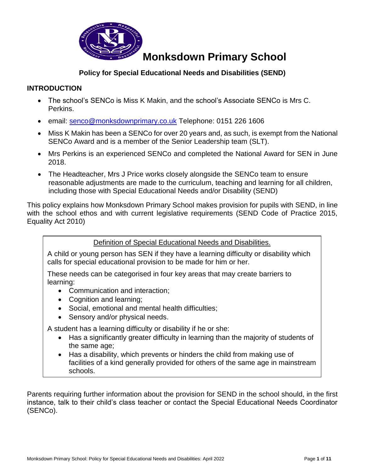

### **Policy for Special Educational Needs and Disabilities (SEND)**

### **INTRODUCTION**

- The school's SENCo is Miss K Makin, and the school's Associate SENCo is Mrs C. Perkins.
- email: [senco@monksdownprimary.co.uk](mailto:senco@monksdownprimary.co.uk) Telephone: 0151 226 1606
- Miss K Makin has been a SENCo for over 20 years and, as such, is exempt from the National SENCo Award and is a member of the Senior Leadership team (SLT).
- Mrs Perkins is an experienced SENCo and completed the National Award for SEN in June 2018.
- The Headteacher, Mrs J Price works closely alongside the SENCo team to ensure reasonable adjustments are made to the curriculum, teaching and learning for all children, including those with Special Educational Needs and/or Disability (SEND)

This policy explains how Monksdown Primary School makes provision for pupils with SEND, in line with the school ethos and with current legislative requirements (SEND Code of Practice 2015, Equality Act 2010)

Definition of Special Educational Needs and Disabilities.

A child or young person has SEN if they have a learning difficulty or disability which calls for special educational provision to be made for him or her.

These needs can be categorised in four key areas that may create barriers to learning:

- Communication and interaction;
- Cognition and learning;
- Social, emotional and mental health difficulties;
- Sensory and/or physical needs.

A student has a learning difficulty or disability if he or she:

- Has a significantly greater difficulty in learning than the majority of students of the same age;
- Has a disability, which prevents or hinders the child from making use of facilities of a kind generally provided for others of the same age in mainstream schools.

Parents requiring further information about the provision for SEND in the school should, in the first instance, talk to their child's class teacher or contact the Special Educational Needs Coordinator (SENCo).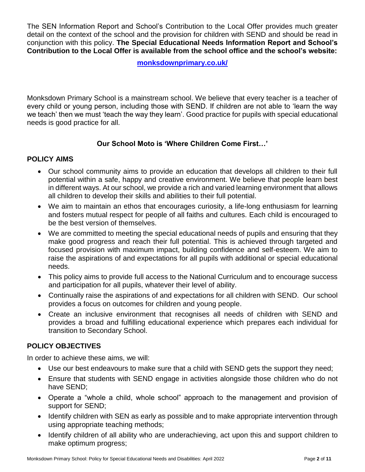The SEN Information Report and School's Contribution to the Local Offer provides much greater detail on the context of the school and the provision for children with SEND and should be read in conjunction with this policy. **The Special Educational Needs Information Report and School's Contribution to the Local Offer is available from the school office and the school's website:**

**[monksdownprimary.co.uk/](https://monksdownprimary.co.uk/)**

Monksdown Primary School is a mainstream school. We believe that every teacher is a teacher of every child or young person, including those with SEND. If children are not able to 'learn the way we teach' then we must 'teach the way they learn'. Good practice for pupils with special educational needs is good practice for all.

### **Our School Moto is 'Where Children Come First…'**

#### **POLICY AIMS**

- Our school community aims to provide an education that develops all children to their full potential within a safe, happy and creative environment. We believe that people learn best in different ways. At our school, we provide a rich and varied learning environment that allows all children to develop their skills and abilities to their full potential.
- We aim to maintain an ethos that encourages curiosity, a life-long enthusiasm for learning and fosters mutual respect for people of all faiths and cultures. Each child is encouraged to be the best version of themselves.
- We are committed to meeting the special educational needs of pupils and ensuring that they make good progress and reach their full potential. This is achieved through targeted and focused provision with maximum impact, building confidence and self-esteem. We aim to raise the aspirations of and expectations for all pupils with additional or special educational needs.
- This policy aims to provide full access to the National Curriculum and to encourage success and participation for all pupils, whatever their level of ability.
- Continually raise the aspirations of and expectations for all children with SEND. Our school provides a focus on outcomes for children and young people.
- Create an inclusive environment that recognises all needs of children with SEND and provides a broad and fulfilling educational experience which prepares each individual for transition to Secondary School.

#### **POLICY OBJECTIVES**

In order to achieve these aims, we will:

- Use our best endeavours to make sure that a child with SEND gets the support they need;
- Ensure that students with SEND engage in activities alongside those children who do not have SEND;
- Operate a "whole a child, whole school" approach to the management and provision of support for SEND;
- Identify children with SEN as early as possible and to make appropriate intervention through using appropriate teaching methods;
- Identify children of all ability who are underachieving, act upon this and support children to make optimum progress;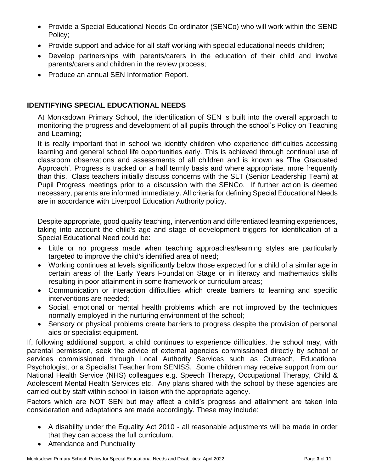- Provide a Special Educational Needs Co-ordinator (SENCo) who will work within the SEND Policy;
- Provide support and advice for all staff working with special educational needs children;
- Develop partnerships with parents/carers in the education of their child and involve parents/carers and children in the review process;
- Produce an annual SEN Information Report.

#### **IDENTIFYING SPECIAL EDUCATIONAL NEEDS**

At Monksdown Primary School, the identification of SEN is built into the overall approach to monitoring the progress and development of all pupils through the school's Policy on Teaching and Learning;

It is really important that in school we identify children who experience difficulties accessing learning and general school life opportunities early. This is achieved through continual use of classroom observations and assessments of all children and is known as 'The Graduated Approach'. Progress is tracked on a half termly basis and where appropriate, more frequently than this. Class teachers initially discuss concerns with the SLT (Senior Leadership Team) at Pupil Progress meetings prior to a discussion with the SENCo. If further action is deemed necessary, parents are informed immediately. All criteria for defining Special Educational Needs are in accordance with Liverpool Education Authority policy.

Despite appropriate, good quality teaching, intervention and differentiated learning experiences, taking into account the child's age and stage of development triggers for identification of a Special Educational Need could be:

- Little or no progress made when teaching approaches/learning styles are particularly targeted to improve the child's identified area of need;
- Working continues at levels significantly below those expected for a child of a similar age in certain areas of the Early Years Foundation Stage or in literacy and mathematics skills resulting in poor attainment in some framework or curriculum areas;
- Communication or interaction difficulties which create barriers to learning and specific interventions are needed;
- Social, emotional or mental health problems which are not improved by the techniques normally employed in the nurturing environment of the school;
- Sensory or physical problems create barriers to progress despite the provision of personal aids or specialist equipment.

If, following additional support, a child continues to experience difficulties, the school may, with parental permission, seek the advice of external agencies commissioned directly by school or services commissioned through Local Authority Services such as Outreach, Educational Psychologist, or a Specialist Teacher from SENISS. Some children may receive support from our National Health Service (NHS) colleagues e.g. Speech Therapy, Occupational Therapy, Child & Adolescent Mental Health Services etc. Any plans shared with the school by these agencies are carried out by staff within school in liaison with the appropriate agency.

Factors which are NOT SEN but may affect a child's progress and attainment are taken into consideration and adaptations are made accordingly. These may include:

- A disability under the Equality Act 2010 all reasonable adjustments will be made in order that they can access the full curriculum.
- Attendance and Punctuality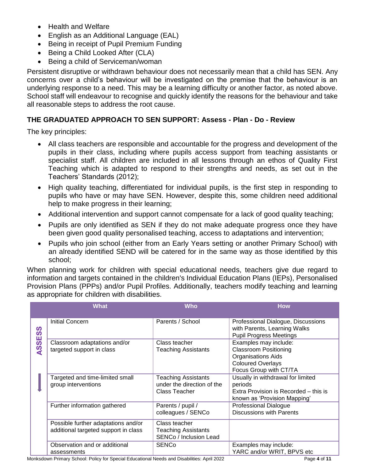- Health and Welfare
- English as an Additional Language (EAL)
- Being in receipt of Pupil Premium Funding
- Being a Child Looked After (CLA)
- Being a child of Serviceman/woman

Persistent disruptive or withdrawn behaviour does not necessarily mean that a child has SEN. Any concerns over a child's behaviour will be investigated on the premise that the behaviour is an underlying response to a need. This may be a learning difficulty or another factor, as noted above. School staff will endeavour to recognise and quickly identify the reasons for the behaviour and take all reasonable steps to address the root cause.

#### **THE GRADUATED APPROACH TO SEN SUPPORT: Assess - Plan - Do - Review**

The key principles:

- All class teachers are responsible and accountable for the progress and development of the pupils in their class, including where pupils access support from teaching assistants or specialist staff. All children are included in all lessons through an ethos of Quality First Teaching which is adapted to respond to their strengths and needs, as set out in the Teachers' Standards (2012);
- High quality teaching, differentiated for individual pupils, is the first step in responding to pupils who have or may have SEN. However, despite this, some children need additional help to make progress in their learning;
- Additional intervention and support cannot compensate for a lack of good quality teaching;
- Pupils are only identified as SEN if they do not make adequate progress once they have been given good quality personalised teaching, access to adaptations and intervention;
- Pupils who join school (either from an Early Years setting or another Primary School) with an already identified SEND will be catered for in the same way as those identified by this school;

When planning work for children with special educational needs, teachers give due regard to information and targets contained in the children's Individual Education Plans (IEPs), Personalised Provision Plans (PPPs) and/or Pupil Profiles. Additionally, teachers modify teaching and learning as appropriate for children with disabilities.

|                                             | <b>What</b>                                                                 | <b>Who</b>                                                                   | <b>How</b>                                                                                                                               |
|---------------------------------------------|-----------------------------------------------------------------------------|------------------------------------------------------------------------------|------------------------------------------------------------------------------------------------------------------------------------------|
| ທ<br>ၯ<br>ш<br>$\overline{\textbf{S}}$<br>⋖ | <b>Initial Concern</b>                                                      | Parents / School                                                             | Professional Dialogue, Discussions<br>with Parents, Learning Walks<br><b>Pupil Progress Meetings</b>                                     |
|                                             | Classroom adaptations and/or<br>targeted support in class                   | Class teacher<br><b>Teaching Assistants</b>                                  | Examples may include:<br><b>Classroom Positioning</b><br><b>Organisations Aids</b><br><b>Coloured Overlays</b><br>Focus Group with CT/TA |
|                                             | Targeted and time-limited small<br>group interventions                      | <b>Teaching Assistants</b><br>under the direction of the<br>Class Teacher    | Usually in withdrawal for limited<br>periods<br>Extra Provision is Recorded – this is<br>known as 'Provision Mapping'                    |
|                                             | Further information gathered                                                | Parents / pupil /<br>colleagues / SENCo                                      | <b>Professional Dialogue</b><br><b>Discussions with Parents</b>                                                                          |
|                                             | Possible further adaptations and/or<br>additional targeted support in class | Class teacher<br><b>Teaching Assistants</b><br><b>SENCo / Inclusion Lead</b> |                                                                                                                                          |
|                                             | Observation and or additional<br>assessments                                | <b>SENCo</b>                                                                 | Examples may include:<br>YARC and/or WRIT, BPVS etc                                                                                      |

Monksdown Primary School: Policy for Special Educational Needs and Disabilities: April 2022 Page **4** of **11**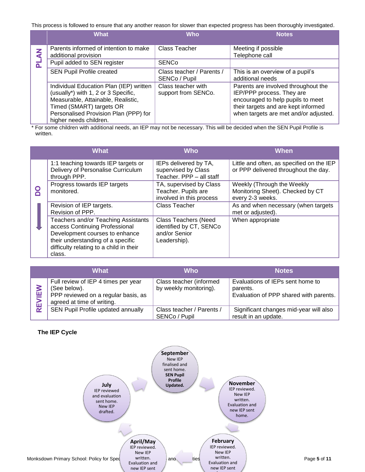This process is followed to ensure that any another reason for slower than expected progress has been thoroughly investigated.

|        | <b>What</b>                                                                                                                                      | <b>Who</b>                                 | <b>Notes</b>                                                                                                                                 |
|--------|--------------------------------------------------------------------------------------------------------------------------------------------------|--------------------------------------------|----------------------------------------------------------------------------------------------------------------------------------------------|
| z<br>ਟ | Parents informed of intention to make<br>additional provision                                                                                    | <b>Class Teacher</b>                       | Meeting if possible<br>Telephone call                                                                                                        |
|        | Pupil added to SEN register                                                                                                                      | <b>SENCo</b>                               |                                                                                                                                              |
|        | <b>SEN Pupil Profile created</b>                                                                                                                 | Class teacher / Parents /<br>SENCo / Pupil | This is an overview of a pupil's<br>additional needs                                                                                         |
|        | Individual Education Plan (IEP) written<br>(usually*) with 1, 2 or 3 Specific,<br>Measurable, Attainable, Realistic,<br>Timed (SMART) targets OR | Class teacher with<br>support from SENCo.  | Parents are involved throughout the<br>IEP/PPP process. They are<br>encouraged to help pupils to meet<br>their targets and are kept informed |
|        | Personalised Provision Plan (PPP) for<br>higher needs children.                                                                                  |                                            | when targets are met and/or adjusted.                                                                                                        |

 \* For some children with additional needs, an IEP may not be necessary. This will be decided when the SEN Pupil Profile is written.

|  | <b>What</b>                                                                                                                                                                                       | <b>Who</b>                                                                              | <b>When</b>                                                                        |
|--|---------------------------------------------------------------------------------------------------------------------------------------------------------------------------------------------------|-----------------------------------------------------------------------------------------|------------------------------------------------------------------------------------|
|  | 1:1 teaching towards IEP targets or<br>Delivery of Personalise Curriculum<br>through PPP.                                                                                                         | IEPs delivered by TA,<br>supervised by Class<br>Teacher. PPP - all staff                | Little and often, as specified on the IEP<br>or PPP delivered throughout the day.  |
|  | Progress towards IEP targets<br>monitored.                                                                                                                                                        | TA, supervised by Class<br>Teacher. Pupils are<br>involved in this process              | Weekly (Through the Weekly<br>Monitoring Sheet). Checked by CT<br>every 2-3 weeks. |
|  | Revision of IEP targets.<br>Revision of PPP.                                                                                                                                                      | Class Teacher                                                                           | As and when necessary (when targets<br>met or adjusted).                           |
|  | Teachers and/or Teaching Assistants<br>access Continuing Professional<br>Development courses to enhance<br>their understanding of a specific<br>difficulty relating to a child in their<br>class. | <b>Class Teachers (Need</b><br>identified by CT, SENCo<br>and/or Senior<br>Leadership). | When appropriate                                                                   |

|        | What                                                                                                                     | Who                                               | <b>Notes</b>                                                                           |
|--------|--------------------------------------------------------------------------------------------------------------------------|---------------------------------------------------|----------------------------------------------------------------------------------------|
| ш<br>ш | Full review of IEP 4 times per year<br>(See below).<br>PPP reviewed on a regular basis, as<br>agreed at time of writing. | Class teacher (informed<br>by weekly monitoring). | Evaluations of IEPs sent home to<br>parents.<br>Evaluation of PPP shared with parents. |
| 宧      | SEN Pupil Profile updated annually                                                                                       | Class teacher / Parents /<br>SENCo / Pupil        | Significant changes mid-year will also<br>result in an update.                         |

#### **The IEP Cycle**

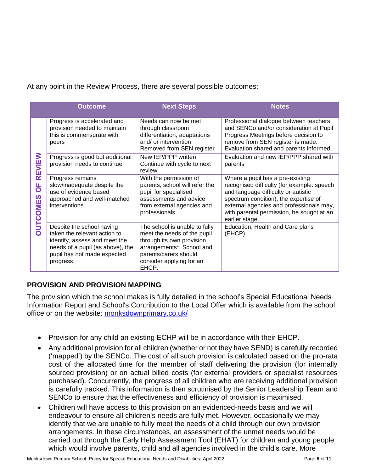At any point in the Review Process, there are several possible outcomes:

|                                            | <b>Outcome</b>                                                                                                                                                            | <b>Next Steps</b>                                                                                                                                                                    | <b>Notes</b>                                                                                                                                                                                                                                                              |
|--------------------------------------------|---------------------------------------------------------------------------------------------------------------------------------------------------------------------------|--------------------------------------------------------------------------------------------------------------------------------------------------------------------------------------|---------------------------------------------------------------------------------------------------------------------------------------------------------------------------------------------------------------------------------------------------------------------------|
| REVIEW<br><b>PO</b><br>S<br><b>OUTCOME</b> | Progress is accelerated and<br>provision needed to maintain<br>this is commensurate with<br>peers                                                                         | Needs can now be met<br>through classroom<br>differentiation, adaptations<br>and/ or intervention<br>Removed from SEN register                                                       | Professional dialogue between teachers<br>and SENCo and/or consideration at Pupil<br>Progress Meetings before decision to<br>remove from SEN register is made.<br>Evaluation shared and parents informed.                                                                 |
|                                            | Progress is good but additional<br>provision needs to continue                                                                                                            | New IEP/PPP written<br>Continue with cycle to next<br>review                                                                                                                         | Evaluation and new IEP/PPP shared with<br>parents                                                                                                                                                                                                                         |
|                                            | Progress remains<br>slow/inadequate despite the<br>use of evidence based<br>approached and well-matched<br>interventions.                                                 | With the permission of<br>parents, school will refer the<br>pupil for specialised<br>assessments and advice<br>from external agencies and<br>professionals.                          | Where a pupil has a pre-existing<br>recognised difficulty (for example: speech<br>and language difficulty or autistic<br>spectrum condition), the expertise of<br>external agencies and professionals may,<br>with parental permission, be sought at an<br>earlier stage. |
|                                            | Despite the school having<br>taken the relevant action to<br>identify, assess and meet the<br>needs of a pupil (as above), the<br>pupil has not made expected<br>progress | The school is unable to fully<br>meet the needs of the pupil<br>through its own provision<br>arrangements*. School and<br>parents/carers should<br>consider applying for an<br>EHCP. | Education, Health and Care plans<br>(EHCP)                                                                                                                                                                                                                                |

# **PROVISION AND PROVISION MAPPING**

The provision which the school makes is fully detailed in the school's Special Educational Needs Information Report and School's Contribution to the Local Offer which is available from the school office or on the website: [monksdownprimary.co.uk/](https://monksdownprimary.co.uk/)

- Provision for any child an existing ECHP will be in accordance with their EHCP.
- Any additional provision for all children (whether or not they have SEND) is carefully recorded ('mapped') by the SENCo. The cost of all such provision is calculated based on the pro-rata cost of the allocated time for the member of staff delivering the provision (for internally sourced provision) or on actual billed costs (for external providers or specialist resources purchased). Concurrently, the progress of all children who are receiving additional provision is carefully tracked. This information is then scrutinised by the Senior Leadership Team and SENCo to ensure that the effectiveness and efficiency of provision is maximised.
- Children will have access to this provision on an evidenced-needs basis and we will endeavour to ensure all children's needs are fully met. However, occasionally we may identify that we are unable to fully meet the needs of a child through our own provision arrangements. In these circumstances, an assessment of the unmet needs would be carried out through the Early Help Assessment Tool (EHAT) for children and young people which would involve parents, child and all agencies involved in the child's care. More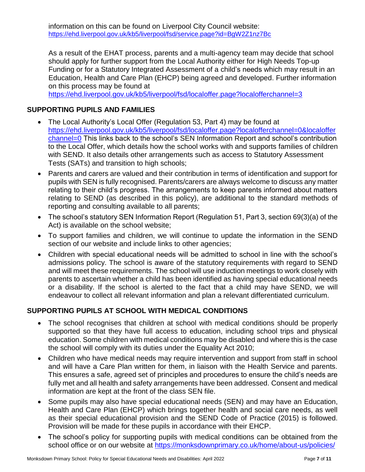As a result of the EHAT process, parents and a multi-agency team may decide that school should apply for further support from the Local Authority either for High Needs Top-up Funding or for a Statutory Integrated Assessment of a child's needs which may result in an Education, Health and Care Plan (EHCP) being agreed and developed. Further information on this process may be found at

<https://ehd.liverpool.gov.uk/kb5/liverpool/fsd/localoffer.page?localofferchannel=3>

# **SUPPORTING PUPILS AND FAMILIES**

- The Local Authority's Local Offer (Regulation 53, Part 4) may be found at [https://ehd.liverpool.gov.uk/kb5/liverpool/fsd/localoffer.page?localofferchannel=0&localoffer](https://ehd.liverpool.gov.uk/kb5/liverpool/fsd/localoffer.page?localofferchannel=0&localofferchannel=0) [channel=0](https://ehd.liverpool.gov.uk/kb5/liverpool/fsd/localoffer.page?localofferchannel=0&localofferchannel=0) This links back to the school's SEN Information Report and school's contribution to the Local Offer, which details how the school works with and supports families of children with SEND. It also details other arrangements such as access to Statutory Assessment Tests (SATs) and transition to high schools;
- Parents and carers are valued and their contribution in terms of identification and support for pupils with SEN is fully recognised. Parents/carers are always welcome to discuss any matter relating to their child's progress. The arrangements to keep parents informed about matters relating to SEND (as described in this policy), are additional to the standard methods of reporting and consulting available to all parents;
- The school's statutory SEN Information Report (Regulation 51, Part 3, section 69(3)(a) of the Act) is available on the school website;
- To support families and children, we will continue to update the information in the SEND section of our website and include links to other agencies;
- Children with special educational needs will be admitted to school in line with the school's admissions policy. The school is aware of the statutory requirements with regard to SEND and will meet these requirements. The school will use induction meetings to work closely with parents to ascertain whether a child has been identified as having special educational needs or a disability. If the school is alerted to the fact that a child may have SEND, we will endeavour to collect all relevant information and plan a relevant differentiated curriculum.

# **SUPPORTING PUPILS AT SCHOOL WITH MEDICAL CONDITIONS**

- The school recognises that children at school with medical conditions should be properly supported so that they have full access to education, including school trips and physical education. Some children with medical conditions may be disabled and where this is the case the school will comply with its duties under the Equality Act 2010;
- Children who have medical needs may require intervention and support from staff in school and will have a Care Plan written for them, in liaison with the Health Service and parents. This ensures a safe, agreed set of principles and procedures to ensure the child's needs are fully met and all health and safety arrangements have been addressed. Consent and medical information are kept at the front of the class SEN file.
- Some pupils may also have special educational needs (SEN) and may have an Education, Health and Care Plan (EHCP) which brings together health and social care needs, as well as their special educational provision and the SEND Code of Practice (2015) is followed. Provision will be made for these pupils in accordance with their EHCP.
- The school's policy for supporting pupils with medical conditions can be obtained from the school office or on our website at<https://monksdownprimary.co.uk/home/about-us/policies/>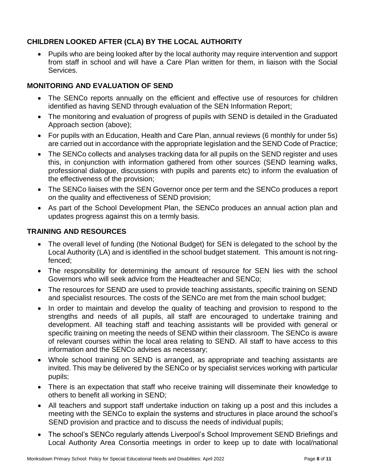# **CHILDREN LOOKED AFTER (CLA) BY THE LOCAL AUTHORITY**

• Pupils who are being looked after by the local authority may require intervention and support from staff in school and will have a Care Plan written for them, in liaison with the Social Services.

### **MONITORING AND EVALUATION OF SEND**

- The SENCo reports annually on the efficient and effective use of resources for children identified as having SEND through evaluation of the SEN Information Report;
- The monitoring and evaluation of progress of pupils with SEND is detailed in the Graduated Approach section (above);
- For pupils with an Education, Health and Care Plan, annual reviews (6 monthly for under 5s) are carried out in accordance with the appropriate legislation and the SEND Code of Practice;
- The SENCo collects and analyses tracking data for all pupils on the SEND register and uses this, in conjunction with information gathered from other sources (SEND learning walks, professional dialogue, discussions with pupils and parents etc) to inform the evaluation of the effectiveness of the provision;
- The SENCo liaises with the SEN Governor once per term and the SENCo produces a report on the quality and effectiveness of SEND provision;
- As part of the School Development Plan, the SENCo produces an annual action plan and updates progress against this on a termly basis.

#### **TRAINING AND RESOURCES**

- The overall level of funding (the Notional Budget) for SEN is delegated to the school by the Local Authority (LA) and is identified in the school budget statement. This amount is not ringfenced;
- The responsibility for determining the amount of resource for SEN lies with the school Governors who will seek advice from the Headteacher and SENCo;
- The resources for SEND are used to provide teaching assistants, specific training on SEND and specialist resources. The costs of the SENCo are met from the main school budget;
- In order to maintain and develop the quality of teaching and provision to respond to the strengths and needs of all pupils, all staff are encouraged to undertake training and development. All teaching staff and teaching assistants will be provided with general or specific training on meeting the needs of SEND within their classroom. The SENCo is aware of relevant courses within the local area relating to SEND. All staff to have access to this information and the SENCo advises as necessary;
- Whole school training on SEND is arranged, as appropriate and teaching assistants are invited. This may be delivered by the SENCo or by specialist services working with particular pupils;
- There is an expectation that staff who receive training will disseminate their knowledge to others to benefit all working in SEND;
- All teachers and support staff undertake induction on taking up a post and this includes a meeting with the SENCo to explain the systems and structures in place around the school's SEND provision and practice and to discuss the needs of individual pupils;
- The school's SENCo regularly attends Liverpool's School Improvement SEND Briefings and Local Authority Area Consortia meetings in order to keep up to date with local/national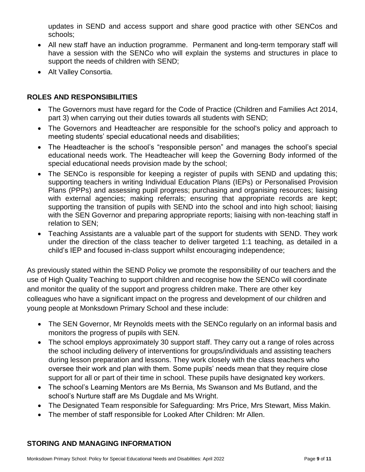updates in SEND and access support and share good practice with other SENCos and schools;

- All new staff have an induction programme. Permanent and long-term temporary staff will have a session with the SENCo who will explain the systems and structures in place to support the needs of children with SEND;
- Alt Valley Consortia.

# **ROLES AND RESPONSIBILITIES**

- The Governors must have regard for the Code of Practice (Children and Families Act 2014, part 3) when carrying out their duties towards all students with SEND;
- The Governors and Headteacher are responsible for the school's policy and approach to meeting students' special educational needs and disabilities;
- The Headteacher is the school's "responsible person" and manages the school's special educational needs work. The Headteacher will keep the Governing Body informed of the special educational needs provision made by the school;
- The SENCo is responsible for keeping a register of pupils with SEND and updating this; supporting teachers in writing Individual Education Plans (IEPs) or Personalised Provision Plans (PPPs) and assessing pupil progress; purchasing and organising resources; liaising with external agencies; making referrals; ensuring that appropriate records are kept; supporting the transition of pupils with SEND into the school and into high school; liaising with the SEN Governor and preparing appropriate reports; liaising with non-teaching staff in relation to SEN;
- Teaching Assistants are a valuable part of the support for students with SEND. They work under the direction of the class teacher to deliver targeted 1:1 teaching, as detailed in a child's IEP and focused in-class support whilst encouraging independence;

As previously stated within the SEND Policy we promote the responsibility of our teachers and the use of High Quality Teaching to support children and recognise how the SENCo will coordinate and monitor the quality of the support and progress children make. There are other key colleagues who have a significant impact on the progress and development of our children and young people at Monksdown Primary School and these include:

- The SEN Governor, Mr Reynolds meets with the SENCo regularly on an informal basis and monitors the progress of pupils with SEN.
- The school employs approximately 30 support staff. They carry out a range of roles across the school including delivery of interventions for groups/individuals and assisting teachers during lesson preparation and lessons. They work closely with the class teachers who oversee their work and plan with them. Some pupils' needs mean that they require close support for all or part of their time in school. These pupils have designated key workers.
- The school's Learning Mentors are Ms Bernia, Ms Swanson and Ms Butland, and the school's Nurture staff are Ms Dugdale and Ms Wright.
- The Designated Team responsible for Safeguarding: Mrs Price, Mrs Stewart, Miss Makin.
- The member of staff responsible for Looked After Children: Mr Allen.

### **STORING AND MANAGING INFORMATION**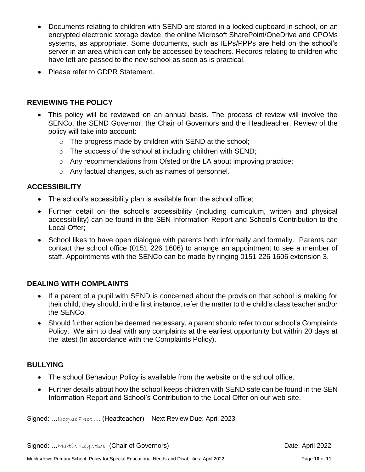- Documents relating to children with SEND are stored in a locked cupboard in school, on an encrypted electronic storage device, the online Microsoft SharePoint/OneDrive and CPOMs systems, as appropriate. Some documents, such as IEPs/PPPs are held on the school's server in an area which can only be accessed by teachers. Records relating to children who have left are passed to the new school as soon as is practical.
- Please refer to GDPR Statement.

### **REVIEWING THE POLICY**

- This policy will be reviewed on an annual basis. The process of review will involve the SENCo, the SEND Governor, the Chair of Governors and the Headteacher. Review of the policy will take into account:
	- o The progress made by children with SEND at the school;
	- o The success of the school at including children with SEND;
	- o Any recommendations from Ofsted or the LA about improving practice;
	- o Any factual changes, such as names of personnel.

### **ACCESSIBILITY**

- The school's accessibility plan is available from the school office;
- Further detail on the school's accessibility (including curriculum, written and physical accessibility) can be found in the SEN Information Report and School's Contribution to the Local Offer;
- School likes to have open dialogue with parents both informally and formally. Parents can contact the school office (0151 226 1606) to arrange an appointment to see a member of staff. Appointments with the SENCo can be made by ringing 0151 226 1606 extension 3.

### **DEALING WITH COMPLAINTS**

- If a parent of a pupil with SEND is concerned about the provision that school is making for their child, they should, in the first instance, refer the matter to the child's class teacher and/or the SENCo.
- Should further action be deemed necessary, a parent should refer to our school's Complaints Policy. We aim to deal with any complaints at the earliest opportunity but within 20 days at the latest (In accordance with the Complaints Policy).

### **BULLYING**

- The school Behaviour Policy is available from the website or the school office.
- Further details about how the school keeps children with SEND safe can be found in the SEN Information Report and School's Contribution to the Local Offer on our web-site.

Signed: ... Jacquie Price ... (Headteacher) Next Review Due: April 2023

Signed: ... Martin Reynolds (Chair of Governors) and the control of the Date: April 2022